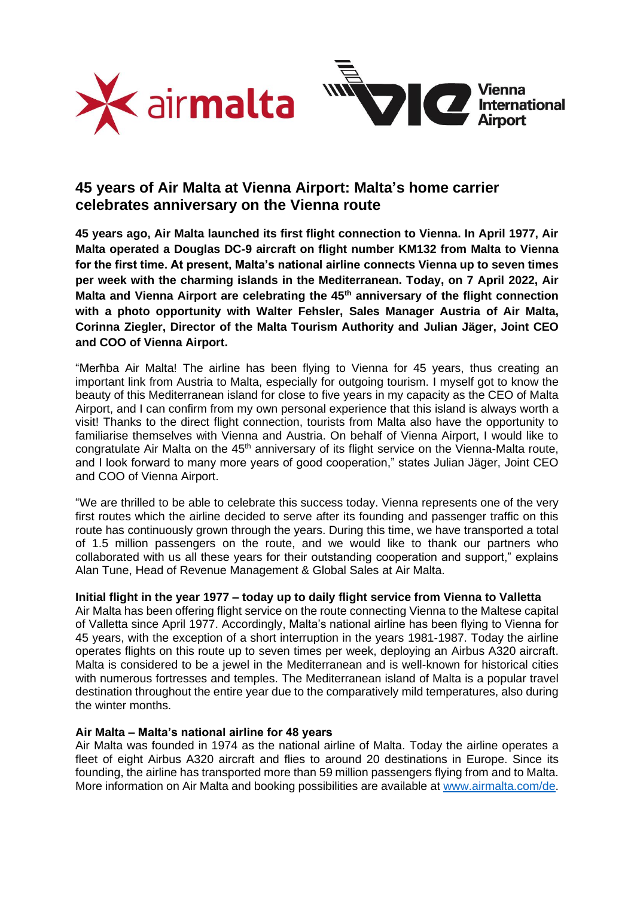



# **45 years of Air Malta at Vienna Airport: Malta's home carrier celebrates anniversary on the Vienna route**

**45 years ago, Air Malta launched its first flight connection to Vienna. In April 1977, Air Malta operated a Douglas DC-9 aircraft on flight number KM132 from Malta to Vienna for the first time. At present, Malta's national airline connects Vienna up to seven times per week with the charming islands in the Mediterranean. Today, on 7 April 2022, Air Malta and Vienna Airport are celebrating the 45th anniversary of the flight connection with a photo opportunity with Walter Fehsler, Sales Manager Austria of Air Malta, Corinna Ziegler, Director of the Malta Tourism Authority and Julian Jäger, Joint CEO and COO of Vienna Airport.**

"Merħba Air Malta! The airline has been flying to Vienna for 45 years, thus creating an important link from Austria to Malta, especially for outgoing tourism. I myself got to know the beauty of this Mediterranean island for close to five years in my capacity as the CEO of Malta Airport, and I can confirm from my own personal experience that this island is always worth a visit! Thanks to the direct flight connection, tourists from Malta also have the opportunity to familiarise themselves with Vienna and Austria. On behalf of Vienna Airport, I would like to congratulate Air Malta on the  $45<sup>th</sup>$  anniversary of its flight service on the Vienna-Malta route, and I look forward to many more years of good cooperation," states Julian Jäger, Joint CEO and COO of Vienna Airport.

"We are thrilled to be able to celebrate this success today. Vienna represents one of the very first routes which the airline decided to serve after its founding and passenger traffic on this route has continuously grown through the years. During this time, we have transported a total of 1.5 million passengers on the route, and we would like to thank our partners who collaborated with us all these years for their outstanding cooperation and support," explains Alan Tune, Head of Revenue Management & Global Sales at Air Malta.

# **Initial flight in the year 1977 – today up to daily flight service from Vienna to Valletta**

Air Malta has been offering flight service on the route connecting Vienna to the Maltese capital of Valletta since April 1977. Accordingly, Malta's national airline has been flying to Vienna for 45 years, with the exception of a short interruption in the years 1981-1987. Today the airline operates flights on this route up to seven times per week, deploying an Airbus A320 aircraft. Malta is considered to be a jewel in the Mediterranean and is well-known for historical cities with numerous fortresses and temples. The Mediterranean island of Malta is a popular travel destination throughout the entire year due to the comparatively mild temperatures, also during the winter months.

### **Air Malta – Malta's national airline for 48 years**

Air Malta was founded in 1974 as the national airline of Malta. Today the airline operates a fleet of eight Airbus A320 aircraft and flies to around 20 destinations in Europe. Since its founding, the airline has transported more than 59 million passengers flying from and to Malta. More information on Air Malta and booking possibilities are available at [www.airmalta.com/de.](http://www.airmalta.com/de)